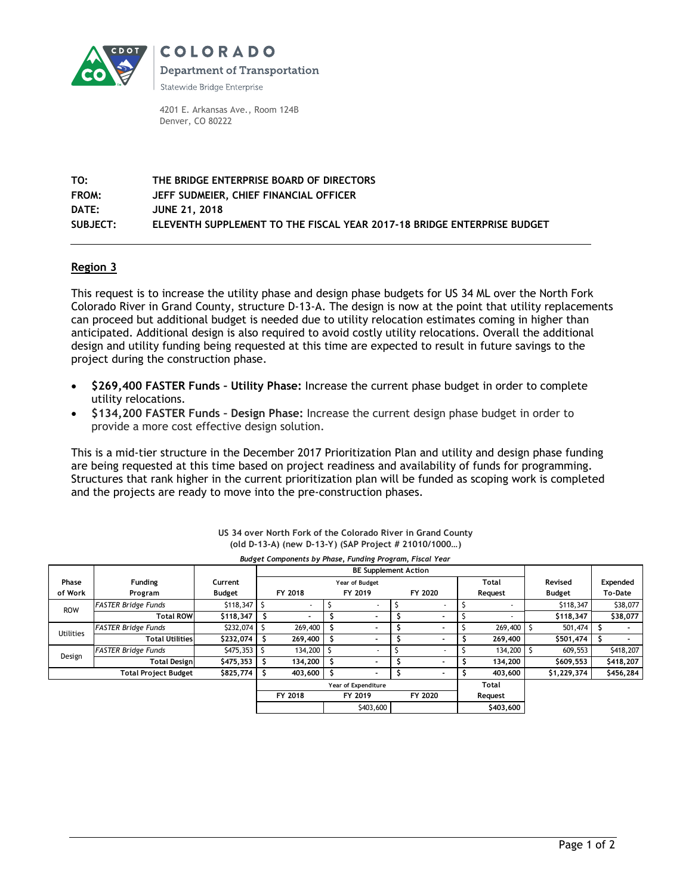

**COLORADO Department of Transportation** 

Statewide Bridge Enterprise

4201 E. Arkansas Ave., Room 124B Denver, CO 80222

**TO: THE BRIDGE ENTERPRISE BOARD OF DIRECTORS FROM: JEFF SUDMEIER, CHIEF FINANCIAL OFFICER DATE: JUNE 21, 2018 SUBJECT: ELEVENTH SUPPLEMENT TO THE FISCAL YEAR 2017-18 BRIDGE ENTERPRISE BUDGET**

## **Region 3**

This request is to increase the utility phase and design phase budgets for US 34 ML over the North Fork Colorado River in Grand County, structure D-13-A. The design is now at the point that utility replacements can proceed but additional budget is needed due to utility relocation estimates coming in higher than anticipated. Additional design is also required to avoid costly utility relocations. Overall the additional design and utility funding being requested at this time are expected to result in future savings to the project during the construction phase.

- **\$269,400 FASTER Funds – Utility Phase:** Increase the current phase budget in order to complete utility relocations.
- **\$134,200 FASTER Funds – Design Phase:** Increase the current design phase budget in order to provide a more cost effective design solution.

This is a mid-tier structure in the December 2017 Prioritization Plan and utility and design phase funding are being requested at this time based on project readiness and availability of funds for programming. Structures that rank higher in the current prioritization plan will be funded as scoping work is completed and the projects are ready to move into the pre-construction phases.

| Budget Components by Phase, Funding Program, Fiscal Year |                            |               |                             |                         |  |                          |  |         |  |                          |  |               |  |           |
|----------------------------------------------------------|----------------------------|---------------|-----------------------------|-------------------------|--|--------------------------|--|---------|--|--------------------------|--|---------------|--|-----------|
|                                                          |                            |               | <b>BE Supplement Action</b> |                         |  |                          |  |         |  |                          |  |               |  |           |
| Phase                                                    | <b>Funding</b>             | Current       |                             | Total<br>Year of Budget |  |                          |  |         |  |                          |  | Revised       |  | Expended  |
| of Work                                                  | Program                    | <b>Budget</b> |                             | FY 2018                 |  | FY 2019                  |  | FY 2020 |  | Request                  |  | <b>Budget</b> |  | To-Date   |
| <b>ROW</b>                                               | <b>FASTER Bridge Funds</b> | \$118,347     |                             |                         |  |                          |  |         |  |                          |  | \$118,347     |  | \$38,077  |
|                                                          | <b>Total ROW</b>           | \$118,347     |                             |                         |  |                          |  |         |  | $\overline{\phantom{a}}$ |  | \$118,347     |  | \$38,077  |
| <b>Utilities</b>                                         | <b>FASTER Bridge Funds</b> | \$232,074     |                             | 269,400                 |  |                          |  |         |  | 269,400                  |  | 501,474       |  |           |
|                                                          | <b>Total Utilities</b>     | \$232,074     | -S                          | 269,400                 |  | $\overline{\phantom{0}}$ |  |         |  | 269,400                  |  | \$501,474     |  |           |
| Design                                                   | <b>FASTER Bridge Funds</b> | \$475,353     |                             | 134,200                 |  |                          |  |         |  | 134,200                  |  | 609.553       |  | \$418,207 |
|                                                          | <b>Total Design</b>        | \$475,353     | Ŝ.                          | 134,200                 |  | -                        |  |         |  | 134,200                  |  | \$609,553     |  | \$418,207 |
| \$825,774<br><b>Total Project Budget</b>                 |                            |               | S                           | 403,600                 |  |                          |  |         |  | 403,600                  |  | \$1,229,374   |  | \$456,284 |
|                                                          |                            |               |                             | Year of Expenditure     |  |                          |  |         |  | Total                    |  |               |  |           |
|                                                          |                            |               |                             | FY 2018                 |  | FY 2019                  |  | FY 2020 |  | Request                  |  |               |  |           |
|                                                          |                            |               |                             |                         |  | \$403,600                |  |         |  | \$403,600                |  |               |  |           |

## **US 34 over North Fork of the Colorado River in Grand County (old D-13-A) (new D-13-Y) (SAP Project # 21010/1000…)**